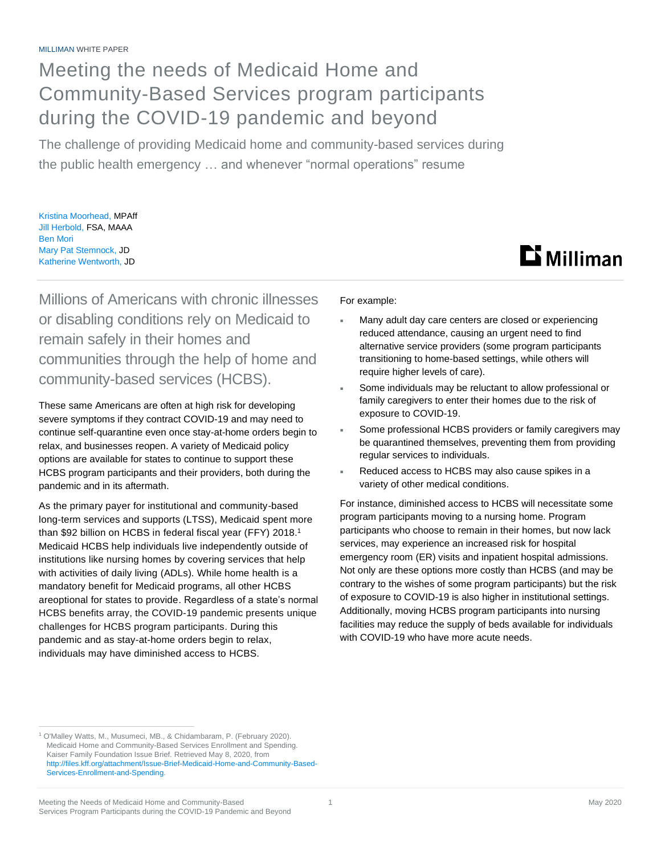## Meeting the needs of Medicaid Home and Community-Based Services program participants during the COVID-19 pandemic and beyond

The challenge of providing Medicaid home and community-based services during the public health emergency … and whenever "normal operations" resume

Kristina Moorhead, MPAff Jill Herbold, FSA, MAAA Ben Mori Mary Pat Stemnock, JD Katherine Wentworth, JD

## **Li** Milliman

Millions of Americans with chronic illnesses or disabling conditions rely on Medicaid to remain safely in their homes and communities through the help of home and community-based services (HCBS).

These same Americans are often at high risk for developing severe symptoms if they contract COVID-19 and may need to continue self-quarantine even once stay-at-home orders begin to relax, and businesses reopen. A variety of Medicaid policy options are available for states to continue to support these HCBS program participants and their providers, both during the pandemic and in its aftermath.

As the primary payer for institutional and community-based long-term services and supports (LTSS), Medicaid spent more than \$92 billion on HCBS in federal fiscal year (FFY) 2018.<sup>1</sup> Medicaid HCBS help individuals live independently outside of institutions like nursing homes by covering services that help with activities of daily living (ADLs). While home health is a mandatory benefit for Medicaid programs, all other HCBS areoptional for states to provide. Regardless of a state's normal HCBS benefits array, the COVID-19 pandemic presents unique challenges for HCBS program participants. During this pandemic and as stay-at-home orders begin to relax, individuals may have diminished access to HCBS.

For example:

- Many adult day care centers are closed or experiencing reduced attendance, causing an urgent need to find alternative service providers (some program participants transitioning to home-based settings, while others will require higher levels of care).
- Some individuals may be reluctant to allow professional or family caregivers to enter their homes due to the risk of exposure to COVID-19.
- Some professional HCBS providers or family caregivers may be quarantined themselves, preventing them from providing regular services to individuals.
- Reduced access to HCBS may also cause spikes in a variety of other medical conditions.

For instance, diminished access to HCBS will necessitate some program participants moving to a nursing home. Program participants who choose to remain in their homes, but now lack services, may experience an increased risk for hospital emergency room (ER) visits and inpatient hospital admissions. Not only are these options more costly than HCBS (and may be contrary to the wishes of some program participants) but the risk of exposure to COVID-19 is also higher in institutional settings. Additionally, moving HCBS program participants into nursing facilities may reduce the supply of beds available for individuals with COVID-19 who have more acute needs.

<sup>&</sup>lt;sup>1</sup> O'Malley Watts, M., Musumeci, MB., & Chidambaram, P. (February 2020). Medicaid Home and Community-Based Services Enrollment and Spending. Kaiser Family Foundation Issue Brief. Retrieved May 8, 2020, from [http://files.kff.org/attachment/Issue-Brief-Medicaid-Home-and-Community-Based-](http://files.kff.org/attachment/Issue-Brief-Medicaid-Home-and-Community-Based-Services-Enrollment-and-Spending)[Services-Enrollment-and-Spending.](http://files.kff.org/attachment/Issue-Brief-Medicaid-Home-and-Community-Based-Services-Enrollment-and-Spending)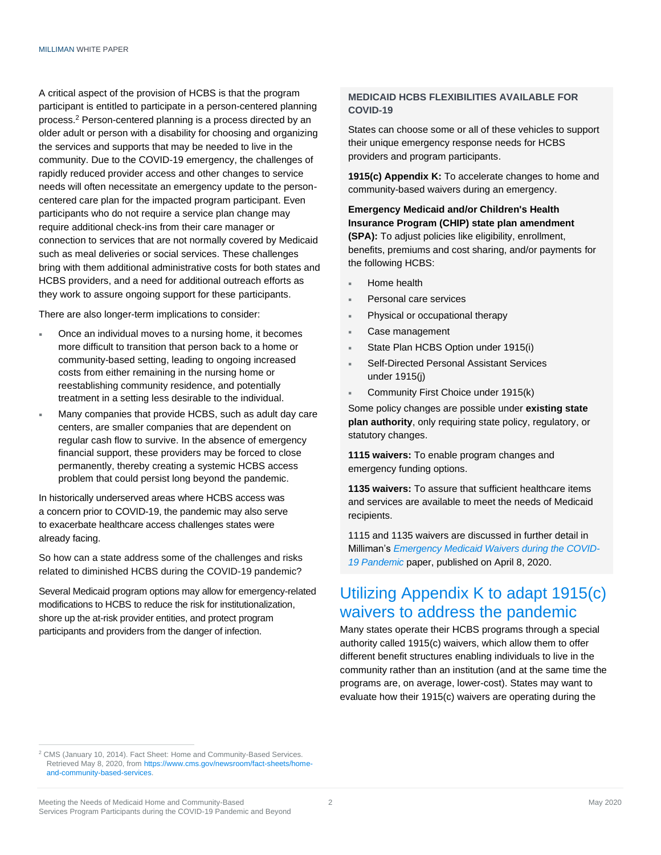A critical aspect of the provision of HCBS is that the program participant is entitled to participate in a person-centered planning process.<sup>2</sup> Person-centered planning is a process directed by an older adult or person with a disability for choosing and organizing the services and supports that may be needed to live in the community. Due to the COVID-19 emergency, the challenges of rapidly reduced provider access and other changes to service needs will often necessitate an emergency update to the personcentered care plan for the impacted program participant. Even participants who do not require a service plan change may require additional check-ins from their care manager or connection to services that are not normally covered by Medicaid such as meal deliveries or social services. These challenges bring with them additional administrative costs for both states and HCBS providers, and a need for additional outreach efforts as they work to assure ongoing support for these participants.

There are also longer-term implications to consider:

- Once an individual moves to a nursing home, it becomes more difficult to transition that person back to a home or community-based setting, leading to ongoing increased costs from either remaining in the nursing home or reestablishing community residence, and potentially treatment in a setting less desirable to the individual.
- Many companies that provide HCBS, such as adult day care centers, are smaller companies that are dependent on regular cash flow to survive. In the absence of emergency financial support, these providers may be forced to close permanently, thereby creating a systemic HCBS access problem that could persist long beyond the pandemic.

In historically underserved areas where HCBS access was a concern prior to COVID-19, the pandemic may also serve to exacerbate healthcare access challenges states were already facing.

So how can a state address some of the challenges and risks related to diminished HCBS during the COVID-19 pandemic?

Several Medicaid program options may allow for emergency-related modifications to HCBS to reduce the risk for institutionalization, shore up the at-risk provider entities, and protect program participants and providers from the danger of infection.

### **MEDICAID HCBS FLEXIBILITIES AVAILABLE FOR COVID-19**

States can choose some or all of these vehicles to support their unique emergency response needs for HCBS providers and program participants.

**1915(c) Appendix K:** To accelerate changes to home and community-based waivers during an emergency.

**Emergency Medicaid and/or Children's Health Insurance Program (CHIP) state plan amendment (SPA):** To adjust policies like eligibility, enrollment, benefits, premiums and cost sharing, and/or payments for the following HCBS:

- Home health
- Personal care services
- Physical or occupational therapy
- Case management
- State Plan HCBS Option under 1915(i)
- Self-Directed Personal Assistant Services under 1915(j)
- **Community First Choice under 1915(k)**

Some policy changes are possible under **existing state plan authority**, only requiring state policy, regulatory, or statutory changes.

**1115 waivers:** To enable program changes and emergency funding options.

**1135 waivers:** To assure that sufficient healthcare items and services are available to meet the needs of Medicaid recipients.

1115 and 1135 waivers are discussed in further detail in Milliman's *[Emergency Medicaid Waivers during the COVID-](https://us.milliman.com/en/insight/emergency-medicaid-waivers-during-the-covid19-pandemic)[19 Pandemic](https://us.milliman.com/en/insight/emergency-medicaid-waivers-during-the-covid19-pandemic)* paper, published on April 8, 2020.

### Utilizing Appendix K to adapt 1915(c) waivers to address the pandemic

Many states operate their HCBS programs through a special authority called 1915(c) waivers, which allow them to offer different benefit structures enabling individuals to live in the community rather than an institution (and at the same time the programs are, on average, lower-cost). States may want to evaluate how their 1915(c) waivers are operating during the

<sup>&</sup>lt;sup>2</sup> CMS (January 10, 2014). Fact Sheet: Home and Community-Based Services. Retrieved May 8, 2020, fro[m https://www.cms.gov/newsroom/fact-sheets/home](https://www.cms.gov/newsroom/fact-sheets/home-and-community-based-services)[and-community-based-services.](https://www.cms.gov/newsroom/fact-sheets/home-and-community-based-services)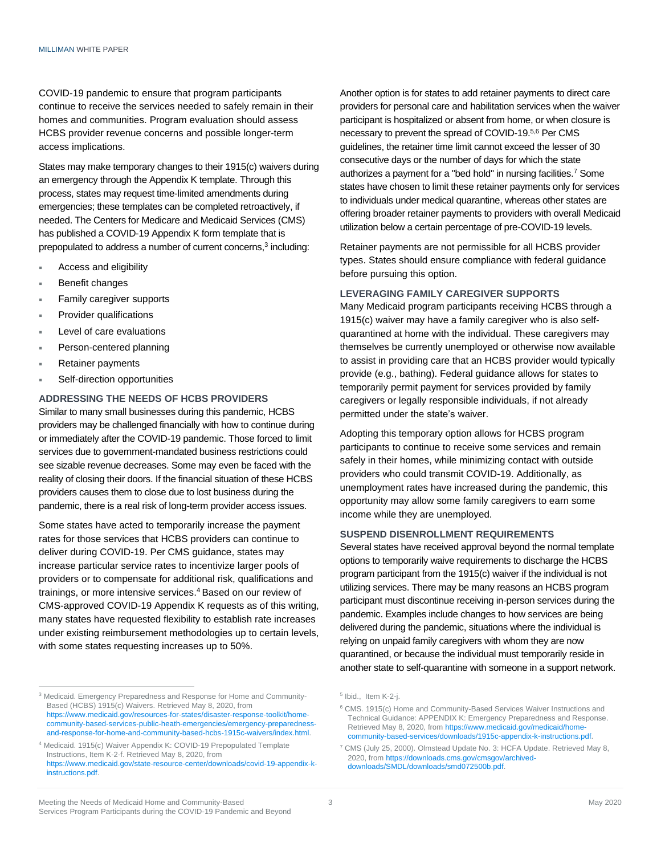COVID-19 pandemic to ensure that program participants continue to receive the services needed to safely remain in their homes and communities. Program evaluation should assess HCBS provider revenue concerns and possible longer-term access implications.

States may make temporary changes to their 1915(c) waivers during an emergency through the Appendix K template. Through this process, states may request time-limited amendments during emergencies; these templates can be completed retroactively, if needed. The Centers for Medicare and Medicaid Services (CMS) has published a COVID-19 Appendix K form template that is prepopulated to address a number of current concerns, 3 including:

- Access and eligibility
- Benefit changes
- Family caregiver supports
- Provider qualifications
- Level of care evaluations
- Person-centered planning
- Retainer payments
- Self-direction opportunities

### **ADDRESSING THE NEEDS OF HCBS PROVIDERS**

Similar to many small businesses during this pandemic, HCBS providers may be challenged financially with how to continue during or immediately after the COVID-19 pandemic. Those forced to limit services due to government-mandated business restrictions could see sizable revenue decreases. Some may even be faced with the reality of closing their doors. If the financial situation of these HCBS providers causes them to close due to lost business during the pandemic, there is a real risk of long-term provider access issues.

Some states have acted to temporarily increase the payment rates for those services that HCBS providers can continue to deliver during COVID-19. Per CMS guidance, states may increase particular service rates to incentivize larger pools of providers or to compensate for additional risk, qualifications and trainings, or more intensive services.<sup>4</sup> Based on our review of CMS-approved COVID-19 Appendix K requests as of this writing, many states have requested flexibility to establish rate increases under existing reimbursement methodologies up to certain levels, with some states requesting increases up to 50%.

Another option is for states to add retainer payments to direct care providers for personal care and habilitation services when the waiver participant is hospitalized or absent from home, or when closure is necessary to prevent the spread of COVID-19. 5,6 Per CMS guidelines, the retainer time limit cannot exceed the lesser of 30 consecutive days or the number of days for which the state authorizes a payment for a "bed hold" in nursing facilities. <sup>7</sup> Some states have chosen to limit these retainer payments only for services to individuals under medical quarantine, whereas other states are offering broader retainer payments to providers with overall Medicaid utilization below a certain percentage of pre-COVID-19 levels.

Retainer payments are not permissible for all HCBS provider types. States should ensure compliance with federal guidance before pursuing this option.

#### **LEVERAGING FAMILY CAREGIVER SUPPORTS**

Many Medicaid program participants receiving HCBS through a 1915(c) waiver may have a family caregiver who is also selfquarantined at home with the individual. These caregivers may themselves be currently unemployed or otherwise now available to assist in providing care that an HCBS provider would typically provide (e.g., bathing). Federal guidance allows for states to temporarily permit payment for services provided by family caregivers or legally responsible individuals, if not already permitted under the state's waiver.

Adopting this temporary option allows for HCBS program participants to continue to receive some services and remain safely in their homes, while minimizing contact with outside providers who could transmit COVID-19. Additionally, as unemployment rates have increased during the pandemic, this opportunity may allow some family caregivers to earn some income while they are unemployed.

### **SUSPEND DISENROLLMENT REQUIREMENTS**

Several states have received approval beyond the normal template options to temporarily waive requirements to discharge the HCBS program participant from the 1915(c) waiver if the individual is not utilizing services. There may be many reasons an HCBS program participant must discontinue receiving in-person services during the pandemic. Examples include changes to how services are being delivered during the pandemic, situations where the individual is relying on unpaid family caregivers with whom they are now quarantined, or because the individual must temporarily reside in another state to self-quarantine with someone in a support network.

<sup>&</sup>lt;sup>3</sup> Medicaid. Emergency Preparedness and Response for Home and Community-Based (HCBS) 1915(c) Waivers. Retrieved May 8, 2020, from [https://www.medicaid.gov/resources-for-states/disaster-response-toolkit/home](https://www.medicaid.gov/resources-for-states/disaster-response-toolkit/home-community-based-services-public-heath-emergencies/emergency-preparedness-and-response-for-home-and-community-based-hcbs-1915c-waivers/index.html)[community-based-services-public-heath-emergencies/emergency-preparedness](https://www.medicaid.gov/resources-for-states/disaster-response-toolkit/home-community-based-services-public-heath-emergencies/emergency-preparedness-and-response-for-home-and-community-based-hcbs-1915c-waivers/index.html)[and-response-for-home-and-community-based-hcbs-1915c-waivers/index.html.](https://www.medicaid.gov/resources-for-states/disaster-response-toolkit/home-community-based-services-public-heath-emergencies/emergency-preparedness-and-response-for-home-and-community-based-hcbs-1915c-waivers/index.html)

<sup>4</sup> Medicaid. 1915(c) Waiver Appendix K: COVID-19 Prepopulated Template Instructions, Item K-2-f. Retrieved May 8, 2020, from [https://www.medicaid.gov/state-resource-center/downloads/covid-19-appendix-k](https://www.medicaid.gov/state-resource-center/downloads/covid-19-appendix-k-instructions.pdf)[instructions.pdf.](https://www.medicaid.gov/state-resource-center/downloads/covid-19-appendix-k-instructions.pdf)

<sup>&</sup>lt;sup>5</sup> Ibid., Item K-2-j.

<sup>6</sup> CMS. 1915(c) Home and Community-Based Services Waiver Instructions and Technical Guidance: APPENDIX K: Emergency Preparedness and Response. Retrieved May 8, 2020, fro[m https://www.medicaid.gov/medicaid/home](https://www.medicaid.gov/medicaid/home-community-based-services/downloads/1915c-appendix-k-instructions.pdf)[community-based-services/downloads/1915c-appendix-k-instructions.pdf.](https://www.medicaid.gov/medicaid/home-community-based-services/downloads/1915c-appendix-k-instructions.pdf)

<sup>7</sup> CMS (July 25, 2000). Olmstead Update No. 3: HCFA Update. Retrieved May 8, 2020, from https://downloads.cms.gov/cmsgov/archiveddownloads/SMDL/downloads/smd072500b.pdf.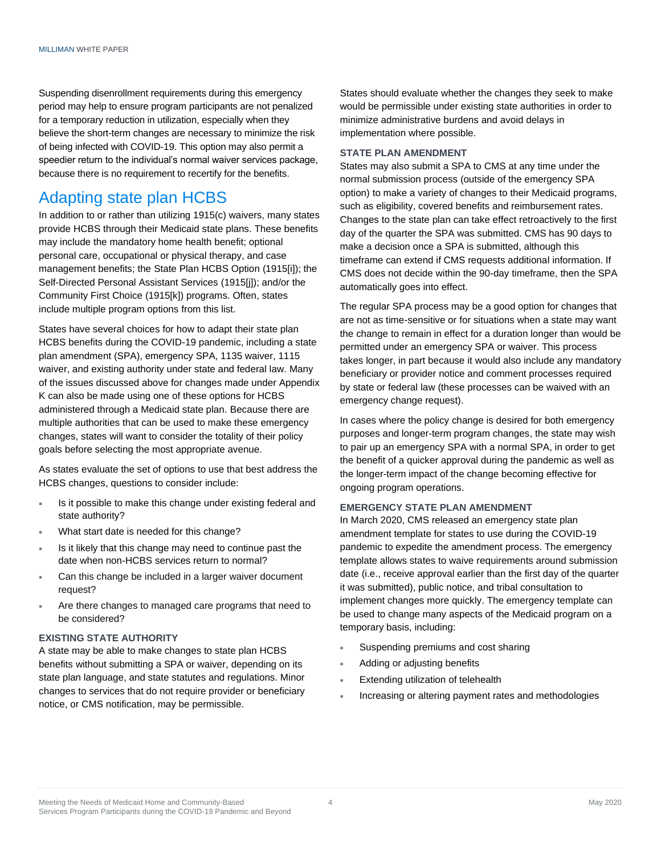Suspending disenrollment requirements during this emergency period may help to ensure program participants are not penalized for a temporary reduction in utilization, especially when they believe the short-term changes are necessary to minimize the risk of being infected with COVID-19. This option may also permit a speedier return to the individual's normal waiver services package, because there is no requirement to recertify for the benefits.

### Adapting state plan HCBS

In addition to or rather than utilizing 1915(c) waivers, many states provide HCBS through their Medicaid state plans. These benefits may include the mandatory home health benefit; optional personal care, occupational or physical therapy, and case management benefits; the State Plan HCBS Option (1915[i]); the Self-Directed Personal Assistant Services (1915[j]); and/or the Community First Choice (1915[k]) programs. Often, states include multiple program options from this list.

States have several choices for how to adapt their state plan HCBS benefits during the COVID-19 pandemic, including a state plan amendment (SPA), emergency SPA, 1135 waiver, 1115 waiver, and existing authority under state and federal law. Many of the issues discussed above for changes made under Appendix K can also be made using one of these options for HCBS administered through a Medicaid state plan. Because there are multiple authorities that can be used to make these emergency changes, states will want to consider the totality of their policy goals before selecting the most appropriate avenue.

As states evaluate the set of options to use that best address the HCBS changes, questions to consider include:

- Is it possible to make this change under existing federal and state authority?
- What start date is needed for this change?
- Is it likely that this change may need to continue past the date when non-HCBS services return to normal?
- Can this change be included in a larger waiver document request?
- Are there changes to managed care programs that need to be considered?

### **EXISTING STATE AUTHORITY**

A state may be able to make changes to state plan HCBS benefits without submitting a SPA or waiver, depending on its state plan language, and state statutes and regulations. Minor changes to services that do not require provider or beneficiary notice, or CMS notification, may be permissible.

States should evaluate whether the changes they seek to make would be permissible under existing state authorities in order to minimize administrative burdens and avoid delays in implementation where possible.

### **STATE PLAN AMENDMENT**

States may also submit a SPA to CMS at any time under the normal submission process (outside of the emergency SPA option) to make a variety of changes to their Medicaid programs, such as eligibility, covered benefits and reimbursement rates. Changes to the state plan can take effect retroactively to the first day of the quarter the SPA was submitted. CMS has 90 days to make a decision once a SPA is submitted, although this timeframe can extend if CMS requests additional information. If CMS does not decide within the 90-day timeframe, then the SPA automatically goes into effect.

The regular SPA process may be a good option for changes that are not as time-sensitive or for situations when a state may want the change to remain in effect for a duration longer than would be permitted under an emergency SPA or waiver. This process takes longer, in part because it would also include any mandatory beneficiary or provider notice and comment processes required by state or federal law (these processes can be waived with an emergency change request).

In cases where the policy change is desired for both emergency purposes and longer-term program changes, the state may wish to pair up an emergency SPA with a normal SPA, in order to get the benefit of a quicker approval during the pandemic as well as the longer-term impact of the change becoming effective for ongoing program operations.

#### **EMERGENCY STATE PLAN AMENDMENT**

In March 2020, CMS released an emergency state plan amendment template for states to use during the COVID-19 pandemic to expedite the amendment process. The emergency template allows states to waive requirements around submission date (i.e., receive approval earlier than the first day of the quarter it was submitted), public notice, and tribal consultation to implement changes more quickly. The emergency template can be used to change many aspects of the Medicaid program on a temporary basis, including:

- Suspending premiums and cost sharing
- Adding or adjusting benefits
- Extending utilization of telehealth
- Increasing or altering payment rates and methodologies